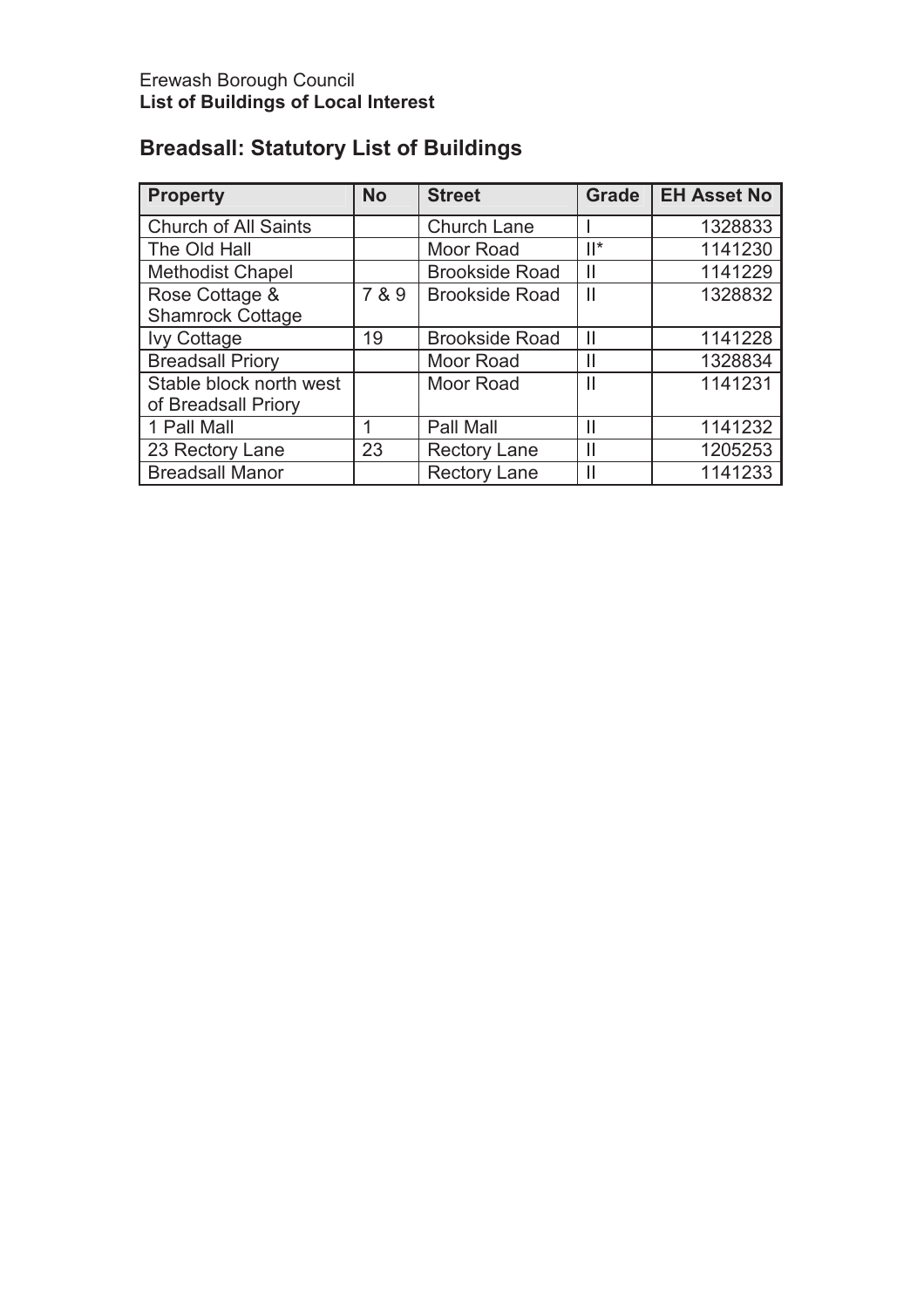# **Breadsall: Statutory List of Buildings**

| <b>Property</b>             | <b>No</b> | <b>Street</b>         | <b>Grade</b>           | <b>EH Asset No</b> |
|-----------------------------|-----------|-----------------------|------------------------|--------------------|
| <b>Church of All Saints</b> |           | <b>Church Lane</b>    |                        | 1328833            |
| The Old Hall                |           | Moor Road             | $  ^*$                 | 1141230            |
| <b>Methodist Chapel</b>     |           | <b>Brookside Road</b> | Ш                      | 1141229            |
| Rose Cottage &              | 7 & 9     | <b>Brookside Road</b> | $\mathbf{\mathsf{II}}$ | 1328832            |
| <b>Shamrock Cottage</b>     |           |                       |                        |                    |
| <b>Ivy Cottage</b>          | 19        | <b>Brookside Road</b> | Ш                      | 1141228            |
| <b>Breadsall Priory</b>     |           | Moor Road             | Ш                      | 1328834            |
| Stable block north west     |           | Moor Road             | $\mathsf{II}$          | 1141231            |
| of Breadsall Priory         |           |                       |                        |                    |
| 1 Pall Mall                 | 1         | Pall Mall             | $\mathsf{II}$          | 1141232            |
| 23 Rectory Lane             | 23        | <b>Rectory Lane</b>   | Ш                      | 1205253            |
| <b>Breadsall Manor</b>      |           | <b>Rectory Lane</b>   | Ш                      | 1141233            |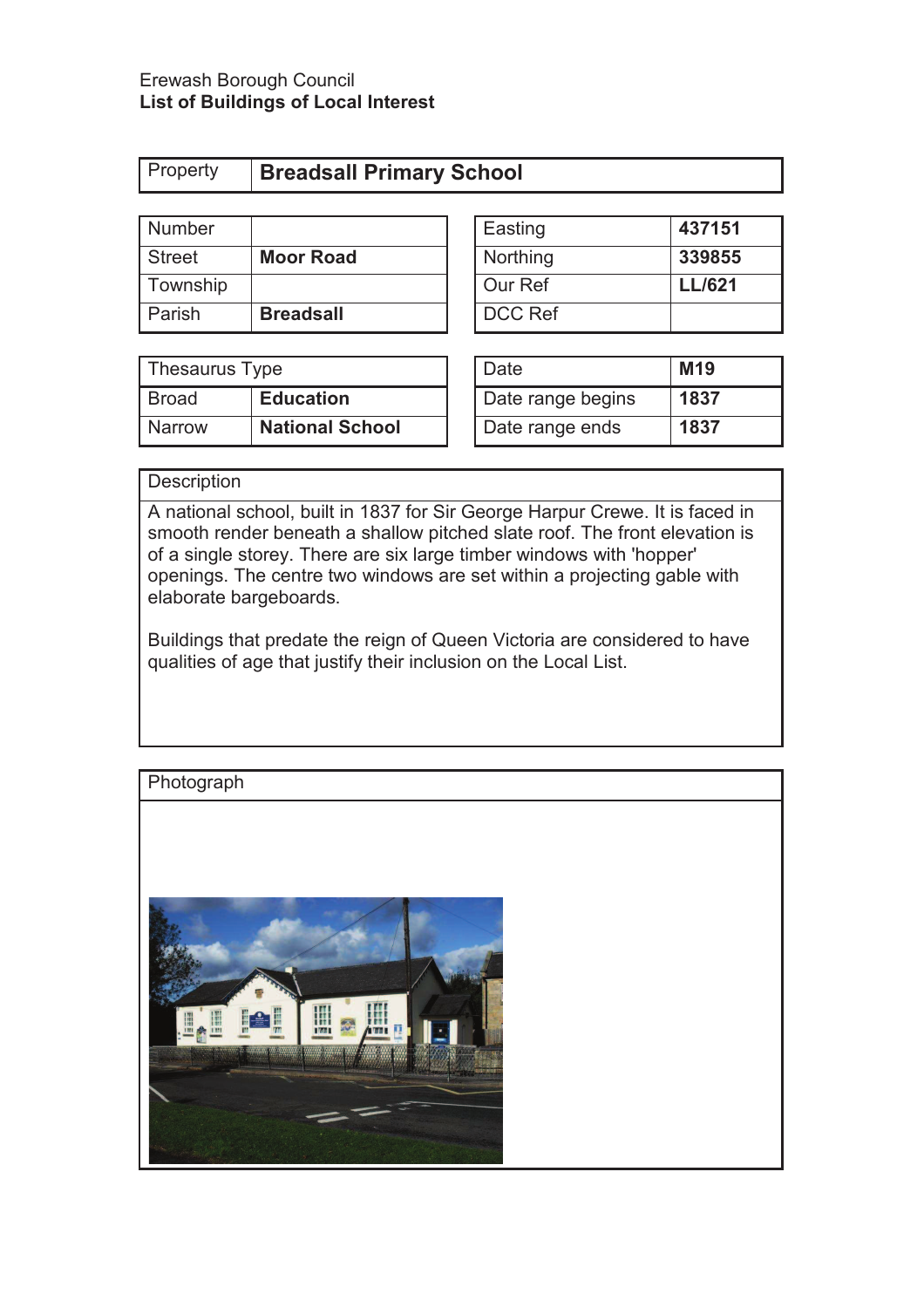## Erewash Borough Council **List of Buildings of Local Interest**

| <b>Number</b> |                  | Easting        | 437151        |
|---------------|------------------|----------------|---------------|
| <b>Street</b> | <b>Moor Road</b> | Northing       | 339855        |
| Township      |                  | Our Ref        | <b>LL/621</b> |
| Parish        | <b>Breadsall</b> | <b>DCC Ref</b> |               |

| Easting  | 437151        |
|----------|---------------|
| Northing | 339855        |
| Our Ref  | <b>LL/621</b> |
| DCC Ref  |               |

| Thesaurus Type |                        | ' Date            | M <sub>19</sub> |
|----------------|------------------------|-------------------|-----------------|
| Broad          | <b>Education</b>       | Date range begins | 1837            |
| <b>Narrow</b>  | <b>National School</b> | Date range ends   | 1837            |

| Date              | M19  |
|-------------------|------|
| Date range begins | 1837 |
| Date range ends   | 1837 |

## **Description**

A national school, built in 1837 for Sir George Harpur Crewe. It is faced in smooth render beneath a shallow pitched slate roof. The front elevation is of a single storey. There are six large timber windows with 'hopper' openings. The centre two windows are set within a projecting gable with elaborate bargeboards.

Buildings that predate the reign of Queen Victoria are considered to have qualities of age that justify their inclusion on the Local List.

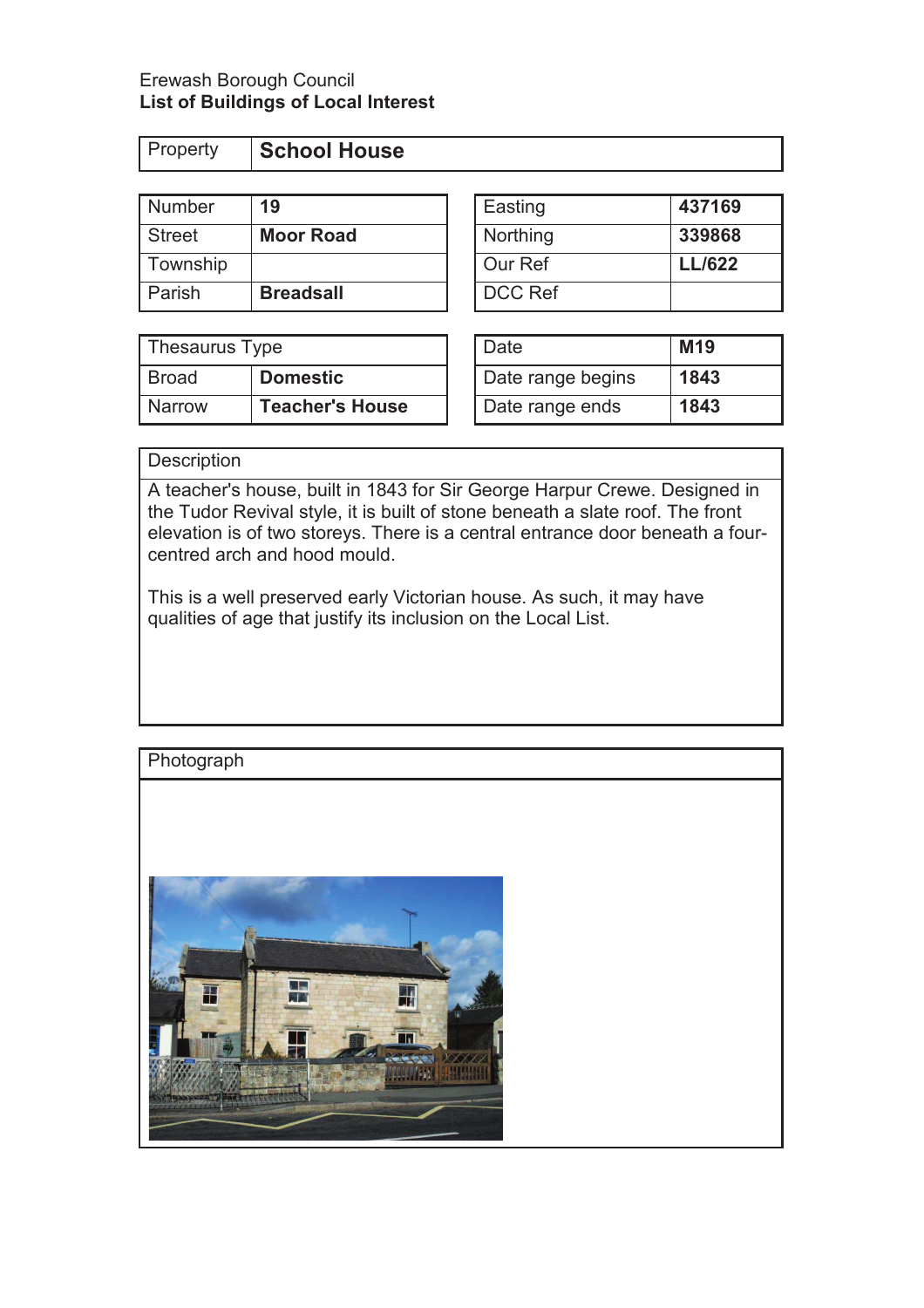## Erewash Borough Council **List of Buildings of Local Interest**

| <b>Property</b> | School House |
|-----------------|--------------|
|                 |              |

| Number        | 19               | Easting        | 437169        |
|---------------|------------------|----------------|---------------|
| <b>Street</b> | <b>Moor Road</b> | Northing       | 339868        |
| Township      |                  | Our Ref        | <b>LL/622</b> |
| Parish        | <b>Breadsall</b> | <b>DCC Ref</b> |               |

| Thesaurus Type |                        | Date              | M <sub>19</sub> |
|----------------|------------------------|-------------------|-----------------|
| Broad          | <b>Domestic</b>        | Date range begins | 1843            |
| <b>Narrow</b>  | <b>Teacher's House</b> | Date range ends   | 1843            |

| Easting  | 437169        |
|----------|---------------|
| Northing | 339868        |
| Our Ref  | <b>LL/622</b> |
| DCC Ref  |               |

| Date              | M19  |
|-------------------|------|
| Date range begins | 1843 |
| Date range ends   | 1843 |

# **Description**

A teacher's house, built in 1843 for Sir George Harpur Crewe. Designed in the Tudor Revival style, it is built of stone beneath a slate roof. The front elevation is of two storeys. There is a central entrance door beneath a fourcentred arch and hood mould.

This is a well preserved early Victorian house. As such, it may have qualities of age that justify its inclusion on the Local List.

# **Photograph** H W n.  $[010760]$